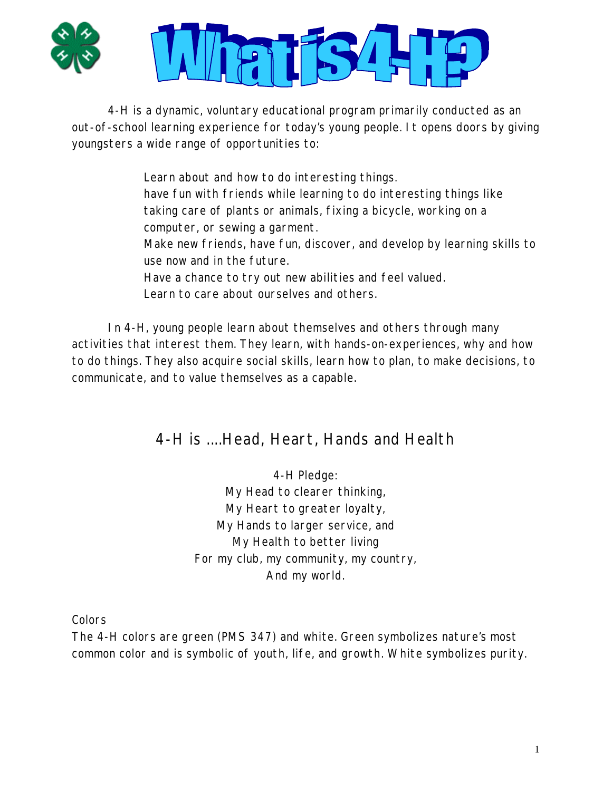



4-H is a dynamic, voluntary educational program primarily conducted as an out-of-school learning experience for today's young people. It opens doors by giving youngsters a wide range of opportunities to:

> Learn about and how to do interesting things. have fun with friends while learning to do interesting things like taking care of plants or animals, fixing a bicycle, working on a computer, or sewing a garment. Make new friends, have fun, discover, and develop by learning skills to use now and in the future. Have a chance to try out new abilities and feel valued. Learn to care about ourselves and others.

 In 4-H, young people learn about themselves and others through many activities that interest them. They learn, with hands-on-experiences, why and how to do things. They also acquire social skills, learn how to plan, to make decisions, to communicate, and to value themselves as a capable.

## 4-H is ....Head, Heart, Hands and Health

4-H Pledge: My Head to clearer thinking, My Heart to greater loyalty, My Hands to larger service, and My Health to better living For my club, my community, my country, And my world.

Colors

The 4-H colors are green (PMS 347) and white. Green symbolizes nature's most common color and is symbolic of youth, life, and growth. White symbolizes purity.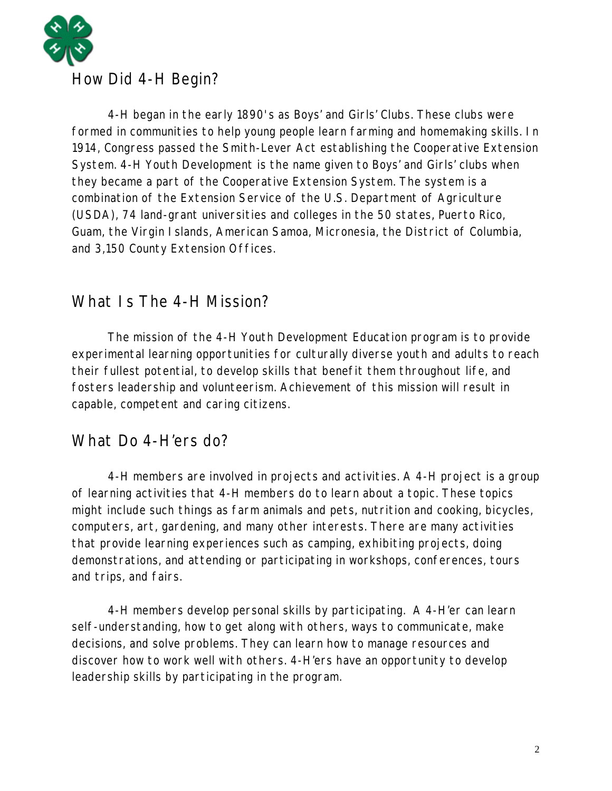

 4-H began in the early 1890's as Boys' and Girls' Clubs. These clubs were formed in communities to help young people learn farming and homemaking skills. In 1914, Congress passed the Smith-Lever Act establishing the Cooperative Extension System. 4-H Youth Development is the name given to Boys' and Girls' clubs when they became a part of the Cooperative Extension System. The system is a combination of the Extension Service of the U.S. Department of Agriculture (USDA), 74 land-grant universities and colleges in the 50 states, Puerto Rico, Guam, the Virgin Islands, American Samoa, Micronesia, the District of Columbia,

#### and 3,150 County Extension Offices.

## What Is The 4-H Mission?

 The mission of the 4-H Youth Development Education program is to provide experimental learning opportunities for culturally diverse youth and adults to reach their fullest potential, to develop skills that benefit them throughout life, and fosters leadership and volunteerism. Achievement of this mission will result in capable, competent and caring citizens.

## What Do 4-H'ers do?

 4-H members are involved in projects and activities. A 4-H project is a group of learning activities that 4-H members do to learn about a topic. These topics might include such things as farm animals and pets, nutrition and cooking, bicycles, computers, art, gardening, and many other interests. There are many activities that provide learning experiences such as camping, exhibiting projects, doing demonstrations, and attending or participating in workshops, conferences, tours and trips, and fairs.

 4-H members develop personal skills by participating. A 4-H'er can learn self-understanding, how to get along with others, ways to communicate, make decisions, and solve problems. They can learn how to manage resources and discover how to work well with others. 4-H'ers have an opportunity to develop leadership skills by participating in the program.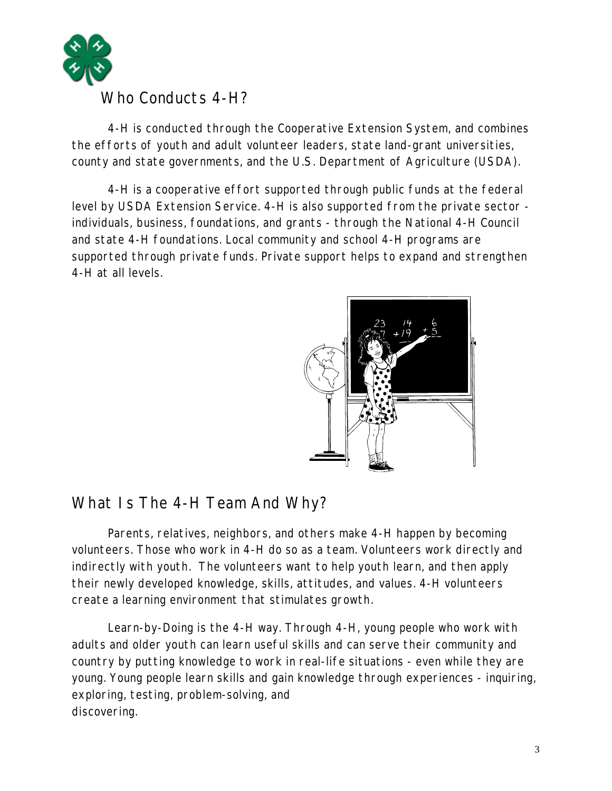

## Who Conducts 4-H?

 4-H is conducted through the Cooperative Extension System, and combines the efforts of youth and adult volunteer leaders, state land-grant universities, county and state governments, and the U.S. Department of Agriculture (USDA).

 4-H is a cooperative effort supported through public funds at the federal level by USDA Extension Service. 4-H is also supported from the private sector individuals, business, foundations, and grants - through the National 4-H Council and state 4-H foundations. Local community and school 4-H programs are supported through private funds. Private support helps to expand and strengthen 4-H at all levels.



## What Is The 4-H Team And Why?

 Parents, relatives, neighbors, and others make 4-H happen by becoming volunteers. Those who work in 4-H do so as a team. Volunteers work directly and indirectly with youth. The volunteers want to help youth learn, and then apply their newly developed knowledge, skills, attitudes, and values. 4-H volunteers create a learning environment that stimulates growth.

 Learn-by-Doing is the 4-H way. Through 4-H, young people who work with adults and older youth can learn useful skills and can serve their community and country by putting knowledge to work in real-life situations - even while they are young. Young people learn skills and gain knowledge through experiences - inquiring, exploring, testing, problem-solving, and discovering.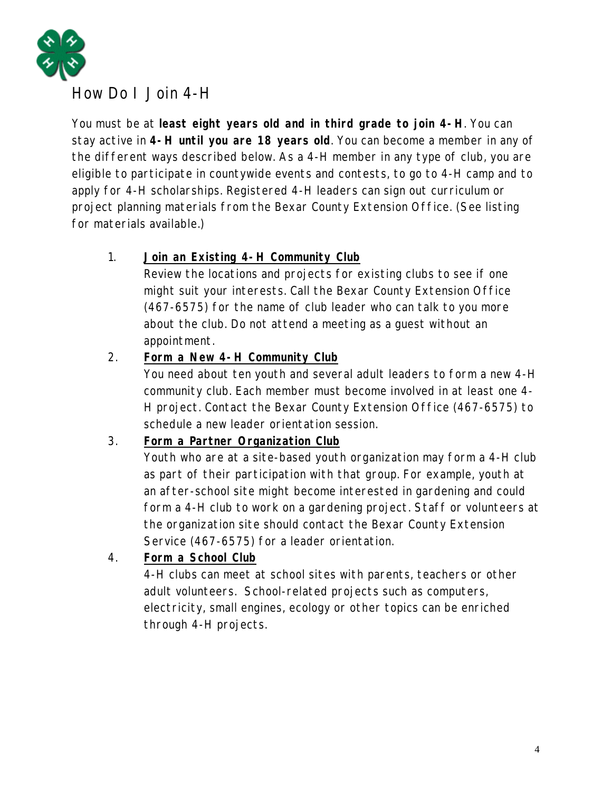

## How Do I Join 4-H

You must be at **least eight years old and in third grade to join 4-H**. You can stay active in **4-H until you are 18 years old**. You can become a member in any of the different ways described below. As a 4-H member in any type of club, you are eligible to participate in countywide events and contests, to go to 4-H camp and to apply for 4-H scholarships. Registered 4-H leaders can sign out curriculum or project planning materials from the Bexar County Extension Office. (See listing for materials available.)

#### 1. **Join an Existing 4-H Community Club**

Review the locations and projects for existing clubs to see if one might suit your interests. Call the Bexar County Extension Office (467-6575) for the name of club leader who can talk to you more about the club. Do not attend a meeting as a guest without an appointment.

#### 2. **Form a New 4-H Community Club**

You need about ten youth and several adult leaders to form a new 4-H community club. Each member must become involved in at least one 4- H project. Contact the Bexar County Extension Office (467-6575) to schedule a new leader orientation session.

#### 3. **Form a Partner Organization Club**

Youth who are at a site-based youth organization may form a 4-H club as part of their participation with that group. For example, youth at an after-school site might become interested in gardening and could form a 4-H club to work on a gardening project. Staff or volunteers at the organization site should contact the Bexar County Extension Service (467-6575) for a leader orientation.

#### 4. **Form a School Club**

4-H clubs can meet at school sites with parents, teachers or other adult volunteers. School-related projects such as computers, electricity, small engines, ecology or other topics can be enriched through 4-H projects.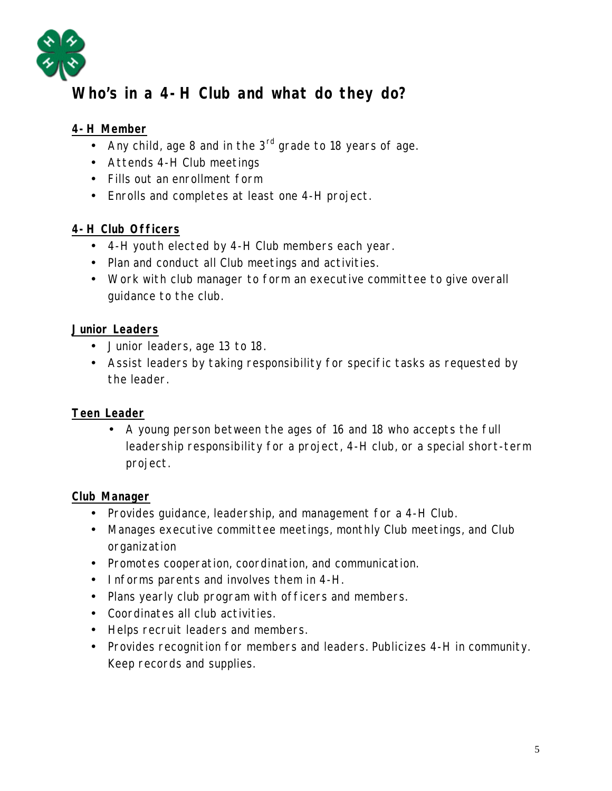

## **Who's in a 4-H Club and what do they do?**

#### **4-H Member**

- Any child, age 8 and in the  $3<sup>rd</sup>$  grade to 18 years of age.
- Attends 4-H Club meetings
- Fills out an enrollment form
- Enrolls and completes at least one 4-H project.

#### **4-H Club Officers**

- 4-H youth elected by 4-H Club members each year.
- Plan and conduct all Club meetings and activities.
- Work with club manager to form an executive committee to give overall guidance to the club.

#### **Junior Leaders**

- Junior leaders, age 13 to 18.
- Assist leaders by taking responsibility for specific tasks as requested by the leader.

#### **Teen Leader**

• A young person between the ages of 16 and 18 who accepts the full leadership responsibility for a project, 4-H club, or a special short-term project.

#### **Club Manager**

- Provides guidance, leadership, and management for a 4-H Club.
- Manages executive committee meetings, monthly Club meetings, and Club organization
- Promotes cooperation, coordination, and communication.
- Informs parents and involves them in 4-H.
- Plans yearly club program with officers and members.
- Coordinates all club activities.
- Helps recruit leaders and members.
- Provides recognition for members and leaders. Publicizes 4-H in community. Keep records and supplies.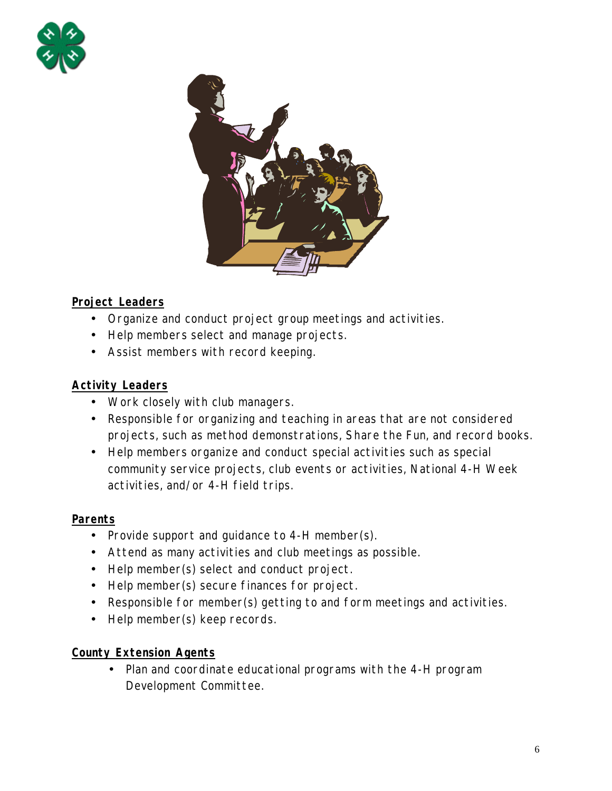



#### **Project Leaders**

- Organize and conduct project group meetings and activities.
- Help members select and manage projects.
- Assist members with record keeping.

#### **Activity Leaders**

- Work closely with club managers.
- Responsible for organizing and teaching in areas that are not considered projects, such as method demonstrations, Share the Fun, and record books.
- Help members organize and conduct special activities such as special community service projects, club events or activities, National 4-H Week activities, and/or 4-H field trips.

#### **Parents**

- Provide support and guidance to 4-H member(s).
- Attend as many activities and club meetings as possible.
- Help member(s) select and conduct project.
- Help member(s) secure finances for project.
- Responsible for member(s) getting to and form meetings and activities.
- Help member(s) keep records.

#### **County Extension Agents**

• Plan and coordinate educational programs with the 4-H program Development Committee.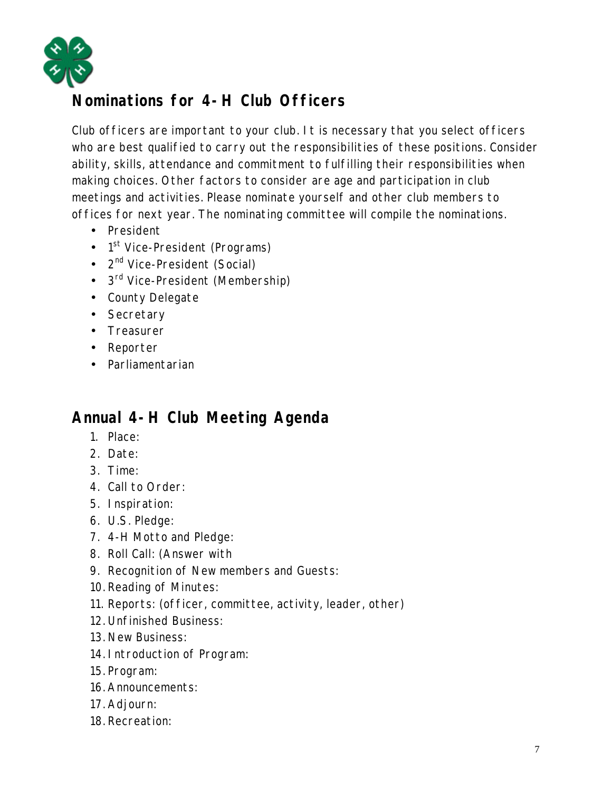

## **Nominations for 4-H Club Officers**

Club officers are important to your club. It is necessary that you select officers who are best qualified to carry out the responsibilities of these positions. Consider ability, skills, attendance and commitment to fulfilling their responsibilities when making choices. Other factors to consider are age and participation in club meetings and activities. Please nominate yourself and other club members to offices for next year. The nominating committee will compile the nominations.

- President
- 1<sup>st</sup> Vice-President (Programs)
- $2^{nd}$  Vice-President (Social)
- 3<sup>rd</sup> Vice-President (Membership)
- County Delegate
- Secretary
- Treasurer
- Reporter
- Parliamentarian

## **Annual 4-H Club Meeting Agenda**

- 1. Place:
- 2. Date:
- 3. Time:
- 4. Call to Order:
- 5. Inspiration:
- 6. U.S. Pledge:
- 7. 4-H Motto and Pledge:
- 8. Roll Call: (Answer with
- 9. Recognition of New members and Guests:
- 10. Reading of Minutes:
- 11. Reports: (officer, committee, activity, leader, other)
- 12. Unfinished Business:
- 13. New Business:
- 14. Introduction of Program:
- 15. Program:
- 16. Announcements:
- 17. Adjourn:
- 18. Recreation: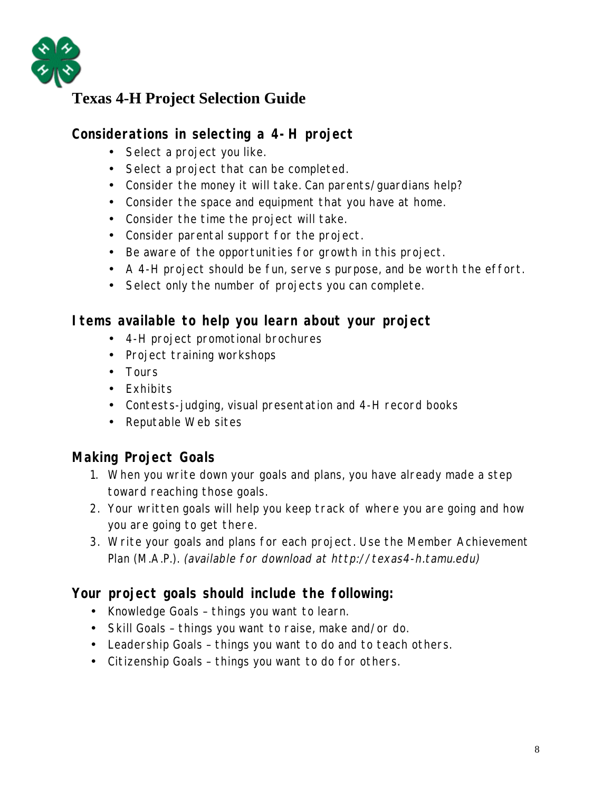

## **Texas 4-H Project Selection Guide**

## **Considerations in selecting a 4-H project**

- Select a project you like.
- Select a project that can be completed.
- Consider the money it will take. Can parents/guardians help?
- Consider the space and equipment that you have at home.
- Consider the time the project will take.
- Consider parental support for the project.
- Be aware of the opportunities for growth in this project.
- A 4-H project should be fun, serve s purpose, and be worth the effort.
- Select only the number of projects you can complete.

#### **Items available to help you learn about your project**

- 4-H project promotional brochures
- Project training workshops
- Tours
- Exhibits
- Contests-judging, visual presentation and 4-H record books
- Reputable Web sites

## **Making Project Goals**

- 1. When you write down your goals and plans, you have already made a step toward reaching those goals.
- 2. Your written goals will help you keep track of where you are going and how you are going to get there.
- 3. Write your goals and plans for each project. Use the Member Achievement Plan (M.A.P.). (available for download at http://texas4-h.tamu.edu)

#### **Your project goals should include the following:**

- Knowledge Goals things you want to learn.
- Skill Goals things you want to raise, make and/or do.
- Leadership Goals things you want to do and to teach others.
- Citizenship Goals things you want to do for others.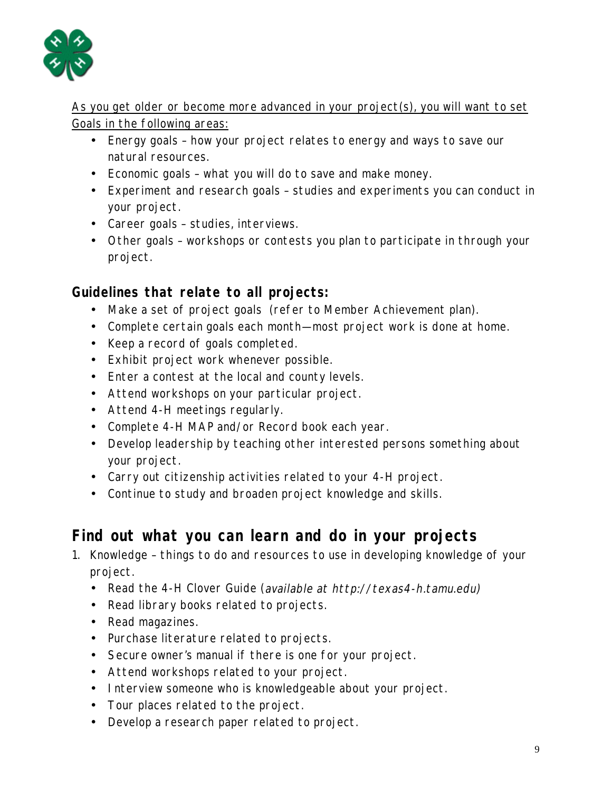

As you get older or become more advanced in your project(s), you will want to set Goals in the following areas:

- Energy goals how your project relates to energy and ways to save our natural resources.
- Economic goals what you will do to save and make money.
- Experiment and research goals studies and experiments you can conduct in your project.
- Career goals studies, interviews.
- Other goals workshops or contests you plan to participate in through your project.

### **Guidelines that relate to all projects:**

- Make a set of project goals (refer to Member Achievement plan).
- Complete certain goals each month—most project work is done at home.
- Keep a record of goals completed.
- Exhibit project work whenever possible.
- Enter a contest at the local and county levels.
- Attend workshops on your particular project.
- Attend 4-H meetings regularly.
- Complete 4-H MAP and/or Record book each year.
- Develop leadership by teaching other interested persons something about your project.
- Carry out citizenship activities related to your 4-H project.
- Continue to study and broaden project knowledge and skills.

## **Find out what you can learn and do in your projects**

- 1. Knowledge things to do and resources to use in developing knowledge of your project.
	- Read the 4-H Clover Guide (available at http://texas4-h.tamu.edu)
	- Read library books related to projects.
	- Read magazines.
	- Purchase literature related to projects.
	- Secure owner's manual if there is one for your project.
	- Attend workshops related to your project.
	- Interview someone who is knowledgeable about your project.
	- Tour places related to the project.
	- Develop a research paper related to project.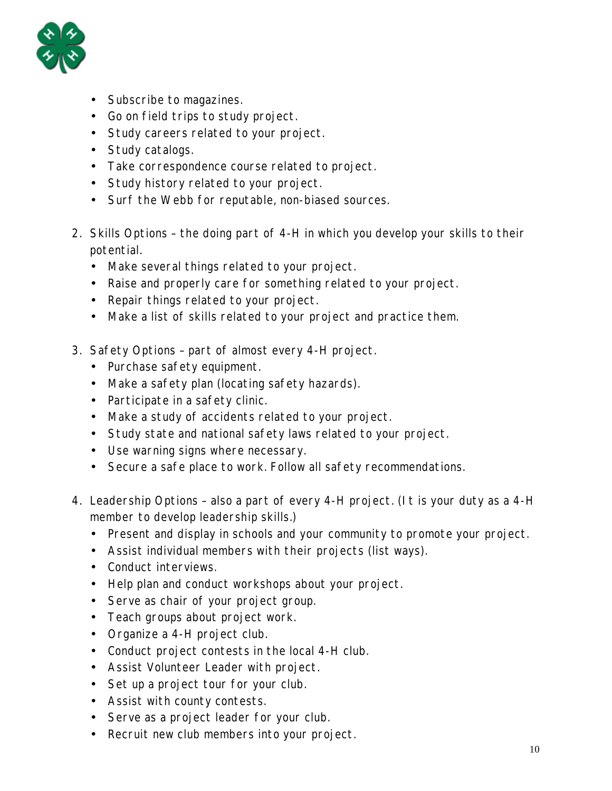

- Subscribe to magazines.
- Go on field trips to study project.
- Study careers related to your project.
- Study catalogs.
- Take correspondence course related to project.
- Study history related to your project.
- Surf the Webb for reputable, non-biased sources.
- 2. Skills Options the doing part of 4-H in which you develop your skills to their potential.
	- Make several things related to your project.
	- Raise and properly care for something related to your project.
	- Repair things related to your project.
	- Make a list of skills related to your project and practice them.
- 3. Safety Options part of almost every 4-H project.
	- Purchase safety equipment.
	- Make a safety plan (locating safety hazards).
	- Participate in a safety clinic.
	- Make a study of accidents related to your project.
	- Study state and national safety laws related to your project.
	- Use warning signs where necessary.
	- Secure a safe place to work. Follow all safety recommendations.
- 4. Leadership Options also a part of every 4-H project. (It is your duty as a 4-H member to develop leadership skills.)
	- Present and display in schools and your community to promote your project.
	- Assist individual members with their projects (list ways).
	- Conduct interviews.
	- Help plan and conduct workshops about your project.
	- Serve as chair of your project group.
	- Teach groups about project work.
	- Organize a 4-H project club.
	- Conduct project contests in the local 4-H club.
	- Assist Volunteer Leader with project.
	- Set up a project tour for your club.
	- Assist with county contests.
	- Serve as a project leader for your club.
	- Recruit new club members into your project.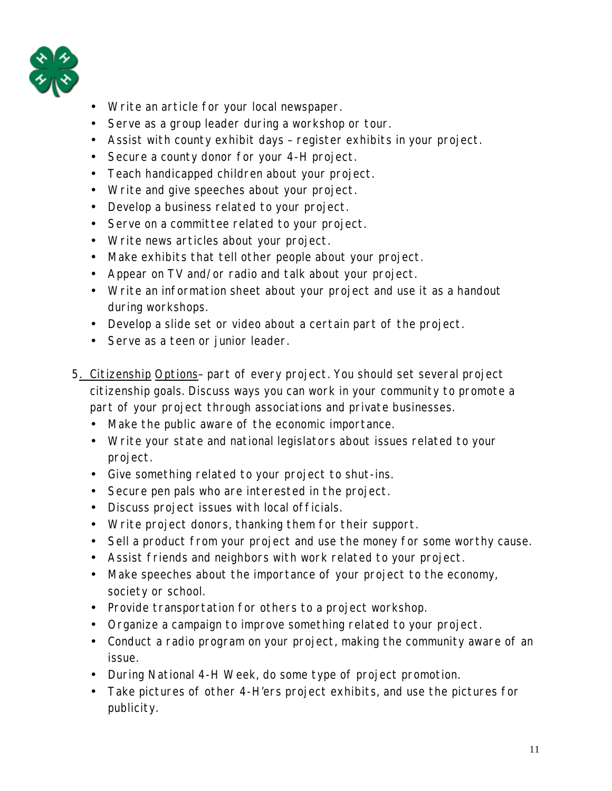

- Write an article for your local newspaper.
- Serve as a group leader during a workshop or tour.
- Assist with county exhibit days register exhibits in your project.
- Secure a county donor for your 4-H project.
- Teach handicapped children about your project.
- Write and give speeches about your project.
- Develop a business related to your project.
- Serve on a committee related to your project.
- Write news articles about your project.
- Make exhibits that tell other people about your project.
- Appear on TV and/or radio and talk about your project.
- Write an information sheet about your project and use it as a handout during workshops.
- Develop a slide set or video about a certain part of the project.
- Serve as a teen or junior leader.
- 5. Citizenship Options– part of every project. You should set several project citizenship goals. Discuss ways you can work in your community to promote a part of your project through associations and private businesses.
	- Make the public aware of the economic importance.
	- Write your state and national legislators about issues related to your project.
	- Give something related to your project to shut-ins.
	- Secure pen pals who are interested in the project.
	- Discuss project issues with local officials.
	- Write project donors, thanking them for their support.
	- Sell a product from your project and use the money for some worthy cause.
	- Assist friends and neighbors with work related to your project.
	- Make speeches about the importance of your project to the economy, society or school.
	- Provide transportation for others to a project workshop.
	- Organize a campaign to improve something related to your project.
	- Conduct a radio program on your project, making the community aware of an issue.
	- During National 4-H Week, do some type of project promotion.
	- Take pictures of other 4-H'ers project exhibits, and use the pictures for publicity.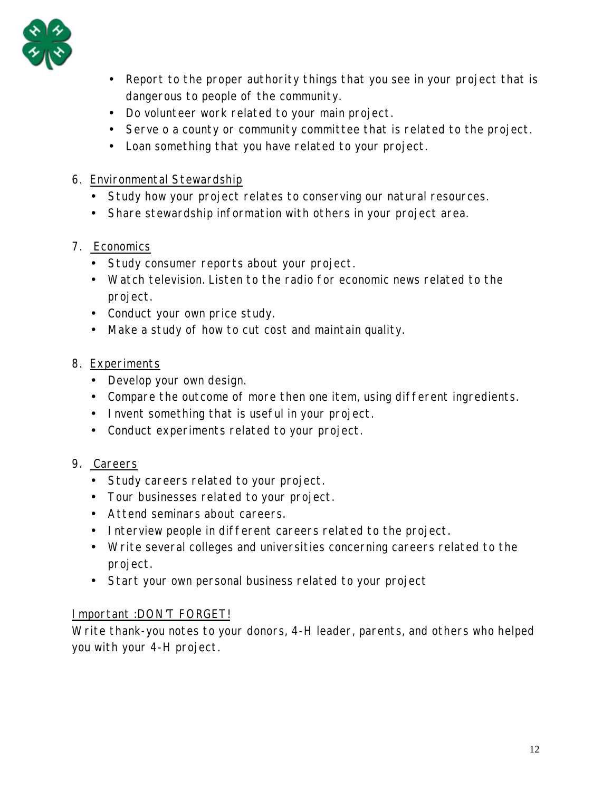

- Report to the proper authority things that you see in your project that is dangerous to people of the community.
- Do volunteer work related to your main project.
- Serve o a county or community committee that is related to the project.
- Loan something that you have related to your project.
- 6. Environmental Stewardship
	- Study how your project relates to conserving our natural resources.
	- Share stewardship information with others in your project area.

#### 7. Economics

- Study consumer reports about your project.
- Watch television. Listen to the radio for economic news related to the project.
- Conduct your own price study.
- Make a study of how to cut cost and maintain quality.

#### 8. Experiments

- Develop your own design.
- Compare the outcome of more then one item, using different ingredients.
- Invent something that is useful in your project.
- Conduct experiments related to your project.

#### 9. Careers

- Study careers related to your project.
- Tour businesses related to your project.
- Attend seminars about careers.
- Interview people in different careers related to the project.
- Write several colleges and universities concerning careers related to the project.
- Start your own personal business related to your project

#### Important :DON'T FORGET!

Write thank-you notes to your donors, 4-H leader, parents, and others who helped you with your 4-H project.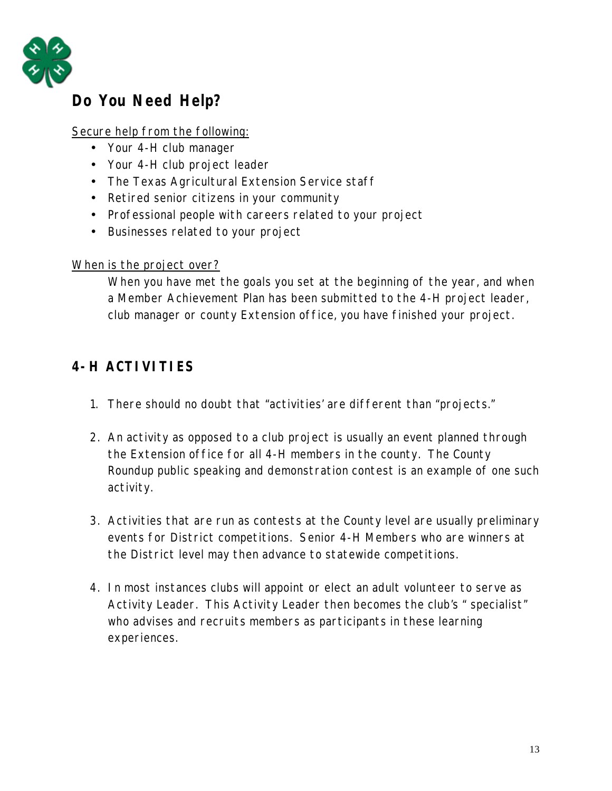

## **Do You Need Help?**

#### Secure help from the following:

- Your 4-H club manager
- Your 4-H club project leader
- The Texas Agricultural Extension Service staff
- Retired senior citizens in your community
- Professional people with careers related to your project
- Businesses related to your project

#### When is the project over?

When you have met the goals you set at the beginning of the year, and when a Member Achievement Plan has been submitted to the 4-H project leader, club manager or county Extension office, you have finished your project.

## **4-H ACTIVITIES**

- 1. There should no doubt that "activities' are different than "projects."
- 2. An activity as opposed to a club project is usually an event planned through the Extension office for all 4-H members in the county. The County Roundup public speaking and demonstration contest is an example of one such activity.
- 3. Activities that are run as contests at the County level are usually preliminary events for District competitions. Senior 4-H Members who are winners at the District level may then advance to statewide competitions.
- 4. In most instances clubs will appoint or elect an adult volunteer to serve as Activity Leader. This Activity Leader then becomes the club's " specialist" who advises and recruits members as participants in these learning experiences.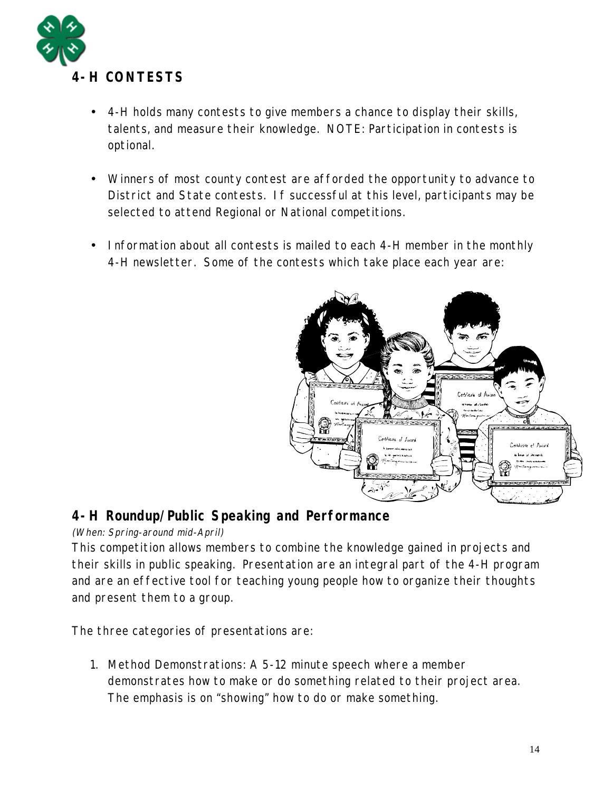

- 4-H holds many contests to give members a chance to display their skills, talents, and measure their knowledge. NOTE: Participation in contests is optional.
- Winners of most county contest are afforded the opportunity to advance to District and State contests. If successful at this level, participants may be selected to attend Regional or National competitions.
- Information about all contests is mailed to each 4-H member in the monthly 4-H newsletter. Some of the contests which take place each year are:



#### **4-H Roundup/Public Speaking and Performance**

(When: Spring-around mid-April)

This competition allows members to combine the knowledge gained in projects and their skills in public speaking. Presentation are an integral part of the 4-H program and are an effective tool for teaching young people how to organize their thoughts and present them to a group.

The three categories of presentations are:

1. Method Demonstrations: A 5-12 minute speech where a member demonstrates how to make or do something related to their project area. The emphasis is on "showing" how to do or make something.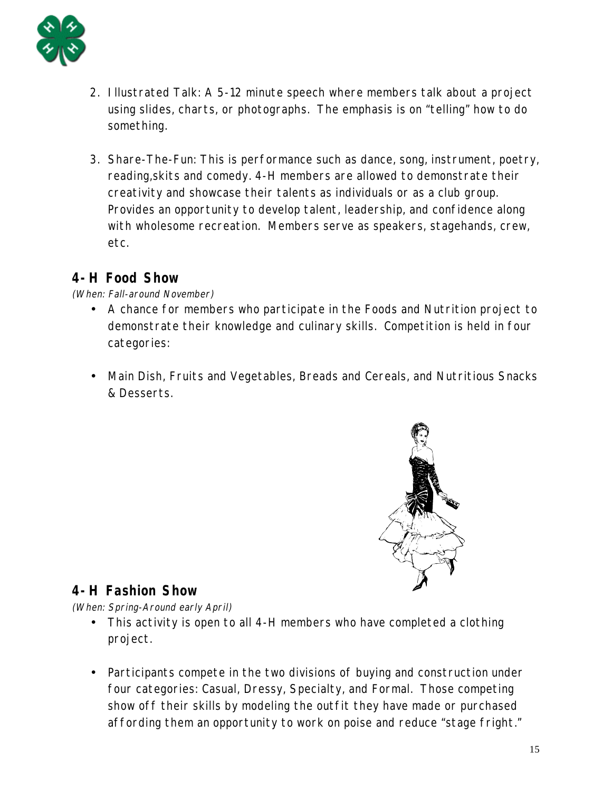

- 2. Illustrated Talk: A 5-12 minute speech where members talk about a project using slides, charts, or photographs. The emphasis is on "telling" how to do something.
- 3. Share-The-Fun: This is performance such as dance, song, instrument, poetry, reading,skits and comedy. 4-H members are allowed to demonstrate their creativity and showcase their talents as individuals or as a club group. Provides an opportunity to develop talent, leadership, and confidence along with wholesome recreation. Members serve as speakers, stagehands, crew, etc.

#### **4-H Food Show**

(When: Fall-around November)

- A chance for members who participate in the Foods and Nutrition project to demonstrate their knowledge and culinary skills. Competition is held in four categories:
- Main Dish, Fruits and Vegetables, Breads and Cereals, and Nutritious Snacks & Desserts.



#### **4-H Fashion Show**

(When: Spring-Around early April)

- This activity is open to all 4-H members who have completed a clothing project.
- Participants compete in the two divisions of buying and construction under four categories: Casual, Dressy, Specialty, and Formal. Those competing show off their skills by modeling the outfit they have made or purchased affording them an opportunity to work on poise and reduce "stage fright."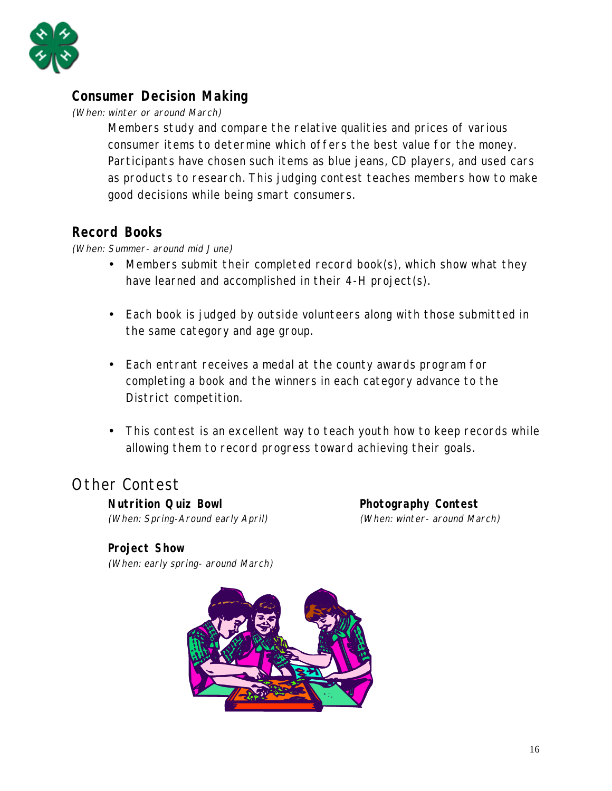

#### **Consumer Decision Making**

(When: winter or around March)

Members study and compare the relative qualities and prices of various consumer items to determine which offers the best value for the money. Participants have chosen such items as blue jeans, CD players, and used cars as products to research. This judging contest teaches members how to make good decisions while being smart consumers.

#### **Record Books**

(When: Summer- around mid June)

- Members submit their completed record book(s), which show what they have learned and accomplished in their 4-H project(s).
- Each book is judged by outside volunteers along with those submitted in the same category and age group.
- Each entrant receives a medal at the county awards program for completing a book and the winners in each category advance to the District competition.
- This contest is an excellent way to teach youth how to keep records while allowing them to record progress toward achieving their goals.

## Other Contest

**Nutrition Quiz Bowl Contest Research Photography Contest** 

(When: Spring-Around early April) (When: winter- around March)

#### **Project Show**

(When: early spring- around March)

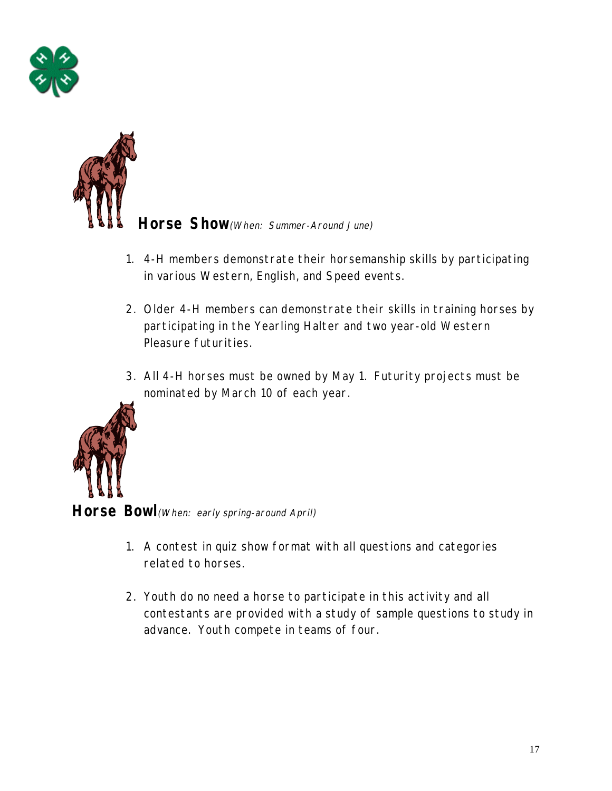



**Horse Show**(When: Summer-Around June)

- 1. 4-H members demonstrate their horsemanship skills by participating in various Western, English, and Speed events.
- 2. Older 4-H members can demonstrate their skills in training horses by participating in the Yearling Halter and two year-old Western Pleasure futurities.
- 3. All 4-H horses must be owned by May 1. Futurity projects must be nominated by March 10 of each year.



Horse Bowl (When: early spring-around April)

- 1. A contest in quiz show format with all questions and categories related to horses.
- 2. Youth do no need a horse to participate in this activity and all contestants are provided with a study of sample questions to study in advance. Youth compete in teams of four.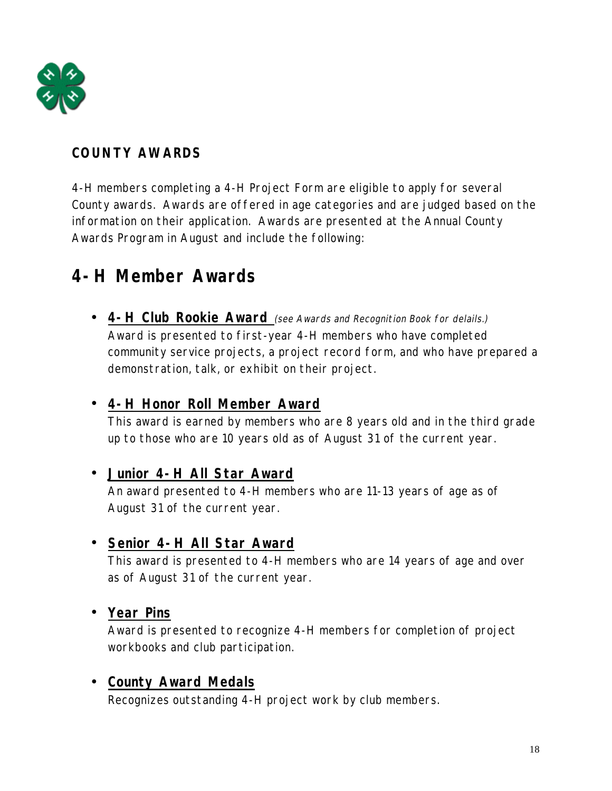

## **COUNTY AWARDS**

4-H members completing a 4-H Project Form are eligible to apply for several County awards. Awards are offered in age categories and are judged based on the information on their application. Awards are presented at the Annual County Awards Program in August and include the following:

## **4-H Member Awards**

• **4-H Club Rookie Award** (see Awards and Recognition Book for delails.) Award is presented to first-year 4-H members who have completed community service projects, a project record form, and who have prepared a demonstration, talk, or exhibit on their project.

#### • **4-H Honor Roll Member Award**

This award is earned by members who are 8 years old and in the third grade up to those who are 10 years old as of August 31 of the current year.

#### • **Junior 4-H All Star Award**

An award presented to 4-H members who are 11-13 years of age as of August 31 of the current year.

#### • **Senior 4-H All Star Award**

This award is presented to 4-H members who are 14 years of age and over as of August 31 of the current year.

#### • **Year Pins**

Award is presented to recognize 4-H members for completion of project workbooks and club participation.

#### • **County Award Medals**

Recognizes outstanding 4-H project work by club members.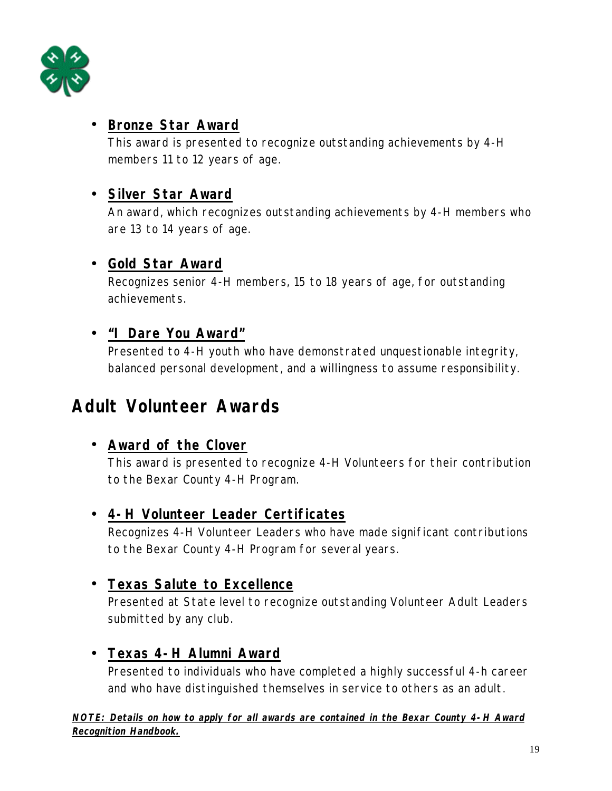

#### • **Bronze Star Award**

This award is presented to recognize outstanding achievements by 4-H members 11 to 12 years of age.

#### • **Silver Star Award**

An award, which recognizes outstanding achievements by 4-H members who are 13 to 14 years of age.

#### • **Gold Star Award**

Recognizes senior 4-H members, 15 to 18 years of age, for outstanding achievements.

#### • **"I Dare You Award"**

Presented to 4-H youth who have demonstrated unquestionable integrity, balanced personal development, and a willingness to assume responsibility.

## **Adult Volunteer Awards**

#### • **Award of the Clover**

This award is presented to recognize 4-H Volunteers for their contribution to the Bexar County 4-H Program.

#### • **4-H Volunteer Leader Certificates**

Recognizes 4-H Volunteer Leaders who have made significant contributions to the Bexar County 4-H Program for several years.

#### • **Texas Salute to Excellence**

Presented at State level to recognize outstanding Volunteer Adult Leaders submitted by any club.

#### • **Texas 4-H Alumni Award**

Presented to individuals who have completed a highly successful 4-h career and who have distinguished themselves in service to others as an adult.

**NOTE: Details on how to apply for all awards are contained in the Bexar County 4-H Award Recognition Handbook.**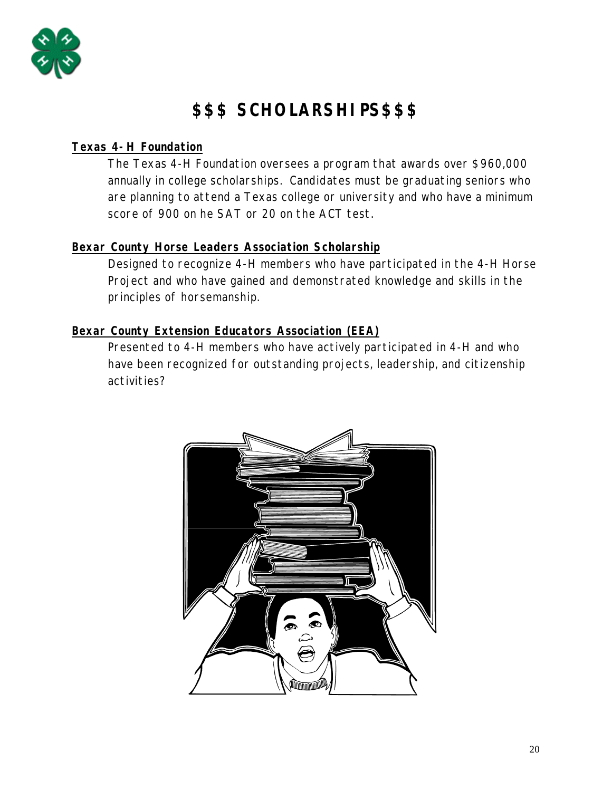

## **\$\$\$ SCHOLARSHIPS\$\$\$**

#### **Texas 4-H Foundation**

The Texas 4-H Foundation oversees a program that awards over \$960,000 annually in college scholarships. Candidates must be graduating seniors who are planning to attend a Texas college or university and who have a minimum score of 900 on he SAT or 20 on the ACT test.

#### **Bexar County Horse Leaders Association Scholarship**

Designed to recognize 4-H members who have participated in the 4-H Horse Project and who have gained and demonstrated knowledge and skills in the principles of horsemanship.

#### **Bexar County Extension Educators Association (EEA)**

Presented to 4-H members who have actively participated in 4-H and who have been recognized for outstanding projects, leadership, and citizenship activities?

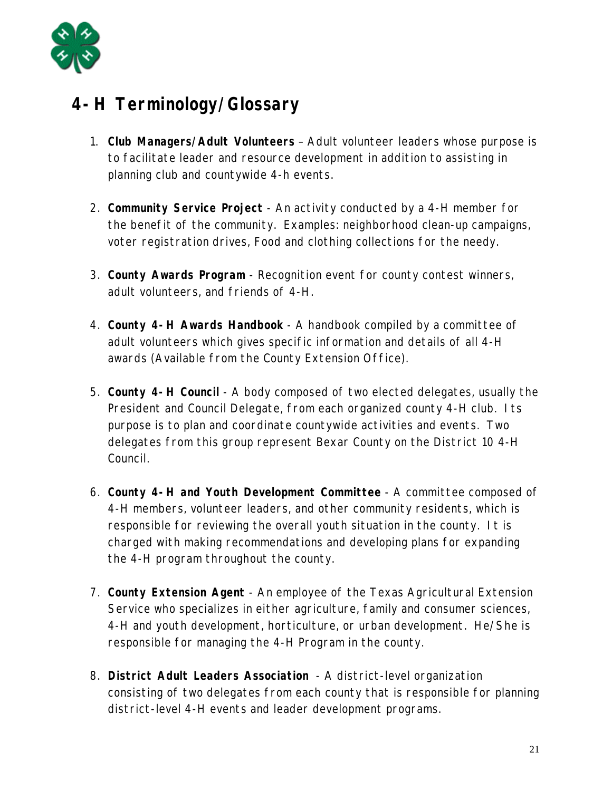

## **4-H Terminology/Glossary**

- 1. **Club Managers/Adult Volunteers** Adult volunteer leaders whose purpose is to facilitate leader and resource development in addition to assisting in planning club and countywide 4-h events.
- 2. **Community Service Project** An activity conducted by a 4-H member for the benefit of the community. Examples: neighborhood clean-up campaigns, voter registration drives, Food and clothing collections for the needy.
- 3. **County Awards Program** Recognition event for county contest winners, adult volunteers, and friends of 4-H.
- 4. **County 4-H Awards Handbook** A handbook compiled by a committee of adult volunteers which gives specific information and details of all 4-H awards (Available from the County Extension Office).
- 5. **County 4-H Council** A body composed of two elected delegates, usually the President and Council Delegate, from each organized county 4-H club. Its purpose is to plan and coordinate countywide activities and events. Two delegates from this group represent Bexar County on the District 10 4-H Council.
- 6. **County 4-H and Youth Development Committee** A committee composed of 4-H members, volunteer leaders, and other community residents, which is responsible for reviewing the overall youth situation in the county. It is charged with making recommendations and developing plans for expanding the 4-H program throughout the county.
- 7. **County Extension Agent** An employee of the Texas Agricultural Extension Service who specializes in either agriculture, family and consumer sciences, 4-H and youth development, horticulture, or urban development. He/She is responsible for managing the 4-H Program in the county.
- 8. **District Adult Leaders Association** A district-level organization consisting of two delegates from each county that is responsible for planning district-level 4-H events and leader development programs.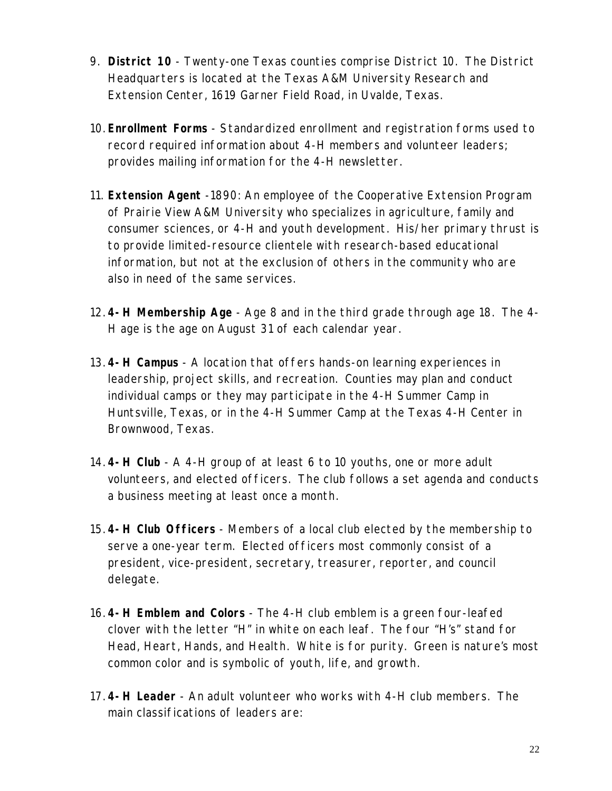- 9. **District 10** Twenty-one Texas counties comprise District 10. The District Headquarters is located at the Texas A&M University Research and Extension Center, 1619 Garner Field Road, in Uvalde, Texas.
- 10. **Enrollment Forms** Standardized enrollment and registration forms used to record required information about 4-H members and volunteer leaders; provides mailing information for the 4-H newsletter.
- 11. **Extension Agent** -1890: An employee of the Cooperative Extension Program of Prairie View A&M University who specializes in agriculture, family and consumer sciences, or 4-H and youth development. His/her primary thrust is to provide limited-resource clientele with research-based educational information, but not at the exclusion of others in the community who are also in need of the same services.
- 12. **4-H Membership Age** Age 8 and in the third grade through age 18. The 4- H age is the age on August 31 of each calendar year.
- 13. **4-H Campus** A location that offers hands-on learning experiences in leadership, project skills, and recreation. Counties may plan and conduct individual camps or they may participate in the 4-H Summer Camp in Huntsville, Texas, or in the 4-H Summer Camp at the Texas 4-H Center in Brownwood, Texas.
- 14. **4-H Club** A 4-H group of at least 6 to 10 youths, one or more adult volunteers, and elected officers. The club follows a set agenda and conducts a business meeting at least once a month.
- 15. **4-H Club Officers** Members of a local club elected by the membership to serve a one-year term. Elected officers most commonly consist of a president, vice-president, secretary, treasurer, reporter, and council delegate.
- 16. **4-H Emblem and Colors** The 4-H club emblem is a green four-leafed clover with the letter "H" in white on each leaf. The four "H's" stand for Head, Heart, Hands, and Health. White is for purity. Green is nature's most common color and is symbolic of youth, life, and growth.
- 17. **4-H Leader** An adult volunteer who works with 4-H club members. The main classifications of leaders are: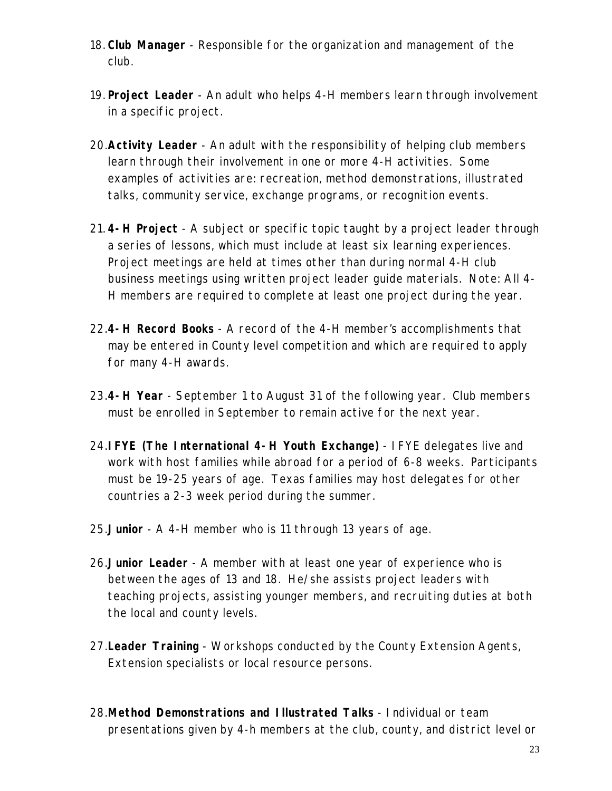- 18. **Club Manager** Responsible for the organization and management of the club.
- 19. **Project Leader** An adult who helps 4-H members learn through involvement in a specific project.
- 20. **Activity Leader** An adult with the responsibility of helping club members learn through their involvement in one or more 4-H activities. Some examples of activities are: recreation, method demonstrations, illustrated talks, community service, exchange programs, or recognition events.
- 21. **4-H Project** A subject or specific topic taught by a project leader through a series of lessons, which must include at least six learning experiences. Project meetings are held at times other than during normal 4-H club business meetings using written project leader guide materials. Note: All 4- H members are required to complete at least one project during the year.
- 22. **4-H Record Books** A record of the 4-H member's accomplishments that may be entered in County level competition and which are required to apply for many 4-H awards.
- 23. **4-H Year** September 1 to August 31 of the following year. Club members must be enrolled in September to remain active for the next year.
- 24. **IFYE (The International 4-H Youth Exchange)** IFYE delegates live and work with host families while abroad for a period of 6-8 weeks. Participants must be 19-25 years of age. Texas families may host delegates for other countries a 2-3 week period during the summer.
- 25. **Junior** A 4-H member who is 11 through 13 years of age.
- 26. **Junior Leader** A member with at least one year of experience who is between the ages of 13 and 18. He/she assists project leaders with teaching projects, assisting younger members, and recruiting duties at both the local and county levels.
- 27. **Leader Training** Workshops conducted by the County Extension Agents, Extension specialists or local resource persons.
- 28. **Method Demonstrations and Illustrated Talks** Individual or team presentations given by 4-h members at the club, county, and district level or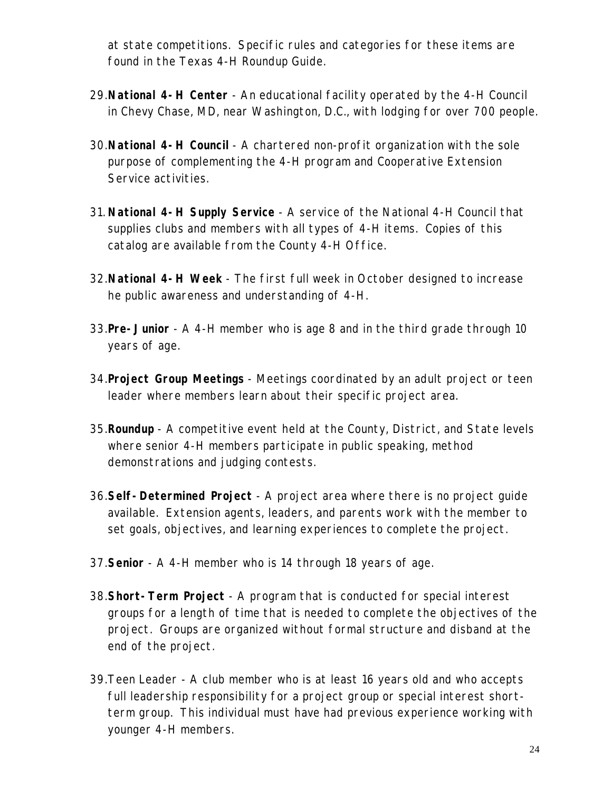at state competitions. Specific rules and categories for these items are found in the Texas 4-H Roundup Guide.

- 29. **National 4-H Center** An educational facility operated by the 4-H Council in Chevy Chase, MD, near Washington, D.C., with lodging for over 700 people.
- 30. **National 4-H Council** A chartered non-profit organization with the sole purpose of complementing the 4-H program and Cooperative Extension Service activities.
- 31. **National 4-H Supply Service** A service of the National 4-H Council that supplies clubs and members with all types of 4-H items. Copies of this catalog are available from the County 4-H Office.
- 32. **National 4-H Week** The first full week in October designed to increase he public awareness and understanding of 4-H.
- 33. **Pre-Junior** A 4-H member who is age 8 and in the third grade through 10 years of age.
- 34. **Project Group Meetings** Meetings coordinated by an adult project or teen leader where members learn about their specific project area.
- 35. **Roundup** A competitive event held at the County, District, and State levels where senior 4-H members participate in public speaking, method demonstrations and judging contests.
- 36. **Self-Determined Project** A project area where there is no project guide available. Extension agents, leaders, and parents work with the member to set goals, objectives, and learning experiences to complete the project.
- 37. **Senior** A 4-H member who is 14 through 18 years of age.
- 38. **Short-Term Project** A program that is conducted for special interest groups for a length of time that is needed to complete the objectives of the project. Groups are organized without formal structure and disband at the end of the project.
- 39. Teen Leader A club member who is at least 16 years old and who accepts full leadership responsibility for a project group or special interest shortterm group. This individual must have had previous experience working with younger 4-H members.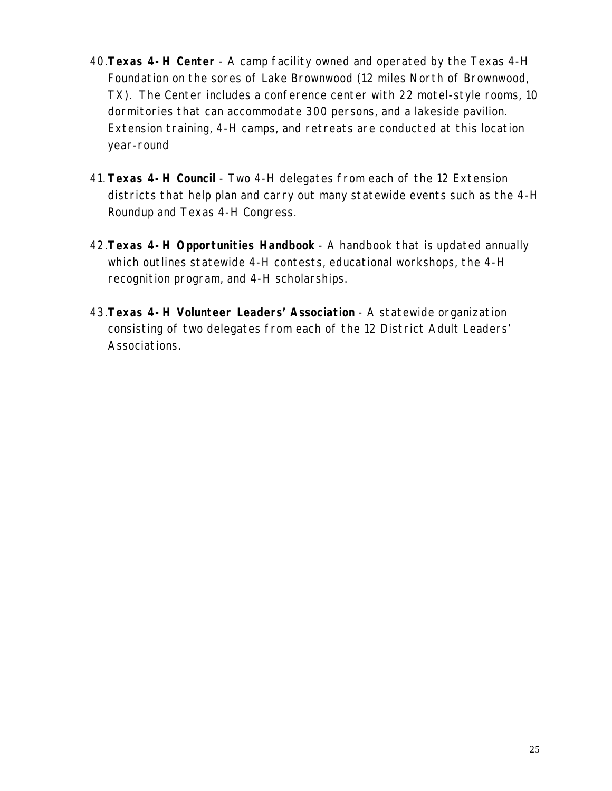- 40. **Texas 4-H Center** A camp facility owned and operated by the Texas 4-H Foundation on the sores of Lake Brownwood (12 miles North of Brownwood, TX). The Center includes a conference center with 22 motel-style rooms, 10 dormitories that can accommodate 300 persons, and a lakeside pavilion. Extension training, 4-H camps, and retreats are conducted at this location year-round
- 41. **Texas 4-H Council** Two 4-H delegates from each of the 12 Extension districts that help plan and carry out many statewide events such as the 4-H Roundup and Texas 4-H Congress.
- 42. **Texas 4-H Opportunities Handbook** A handbook that is updated annually which outlines statewide 4-H contests, educational workshops, the 4-H recognition program, and 4-H scholarships.
- 43. **Texas 4-H Volunteer Leaders' Association** A statewide organization consisting of two delegates from each of the 12 District Adult Leaders' Associations.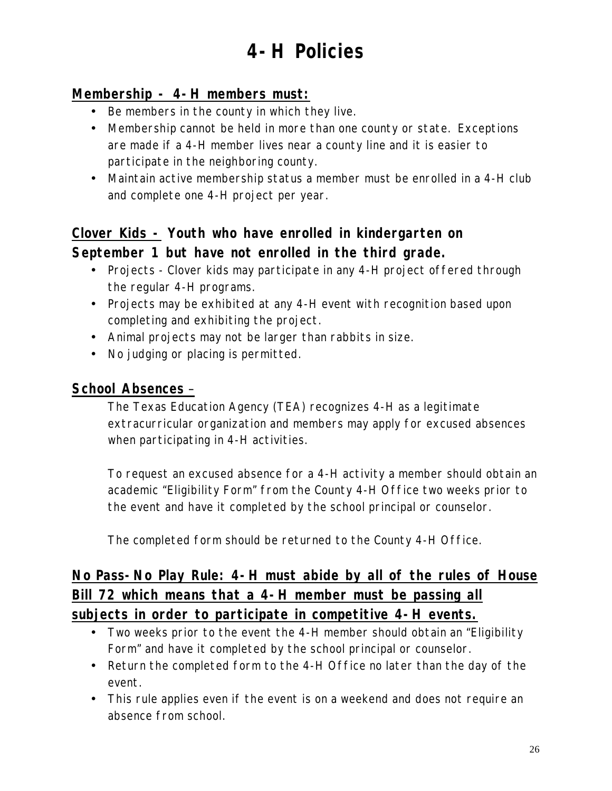# **4-H Policies**

#### **Membership - 4-H members must:**

- Be members in the county in which they live.
- Membership cannot be held in more than one county or state. Exceptions are made if a 4-H member lives near a county line and it is easier to participate in the neighboring county.
- Maintain active membership status a member must be enrolled in a 4-H club and complete one 4-H project per year.

## **Clover Kids - Youth who have enrolled in kindergarten on September 1 but have not enrolled in the third grade.**

- Projects Clover kids may participate in any 4-H project offered through the regular 4-H programs.
- Projects may be exhibited at any 4-H event with recognition based upon completing and exhibiting the project.
- Animal projects may not be larger than rabbits in size.
- No judging or placing is permitted.

#### **School Absences** –

The Texas Education Agency (TEA) recognizes 4-H as a legitimate extracurricular organization and members may apply for excused absences when participating in 4-H activities.

To request an excused absence for a 4-H activity a member should obtain an academic "Eligibility Form" from the County 4-H Office two weeks prior to the event and have it completed by the school principal or counselor.

The completed form should be returned to the County 4-H Office.

## **No Pass-No Play Rule: 4-H must abide by all of the rules of House Bill 72 which means that a 4-H member must be passing all subjects in order to participate in competitive 4-H events.**

- Two weeks prior to the event the 4-H member should obtain an "Eligibility Form" and have it completed by the school principal or counselor.
- Return the completed form to the 4-H Office no later than the day of the event.
- This rule applies even if the event is on a weekend and does not require an absence from school.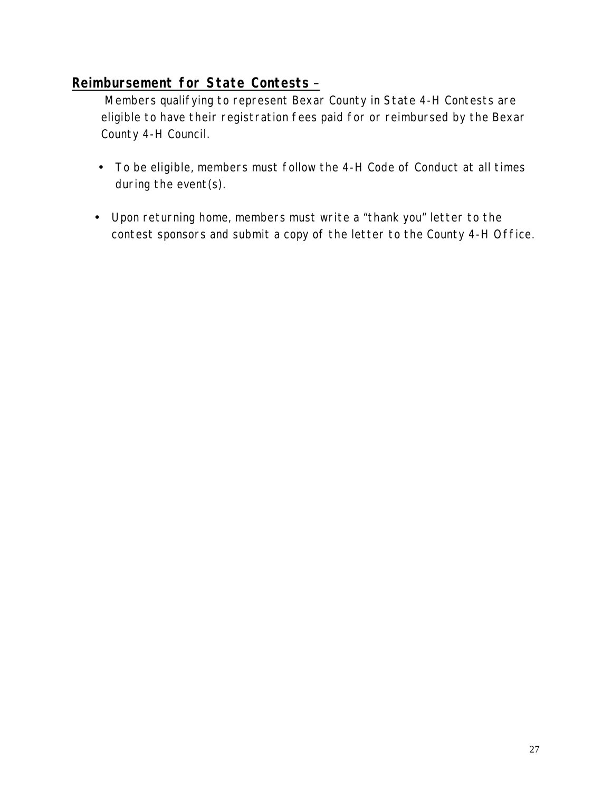#### **Reimbursement for State Contests** –

 Members qualifying to represent Bexar County in State 4-H Contests are eligible to have their registration fees paid for or reimbursed by the Bexar County 4-H Council.

- To be eligible, members must follow the 4-H Code of Conduct at all times during the event(s).
- Upon returning home, members must write a "thank you" letter to the contest sponsors and submit a copy of the letter to the County 4-H Office.